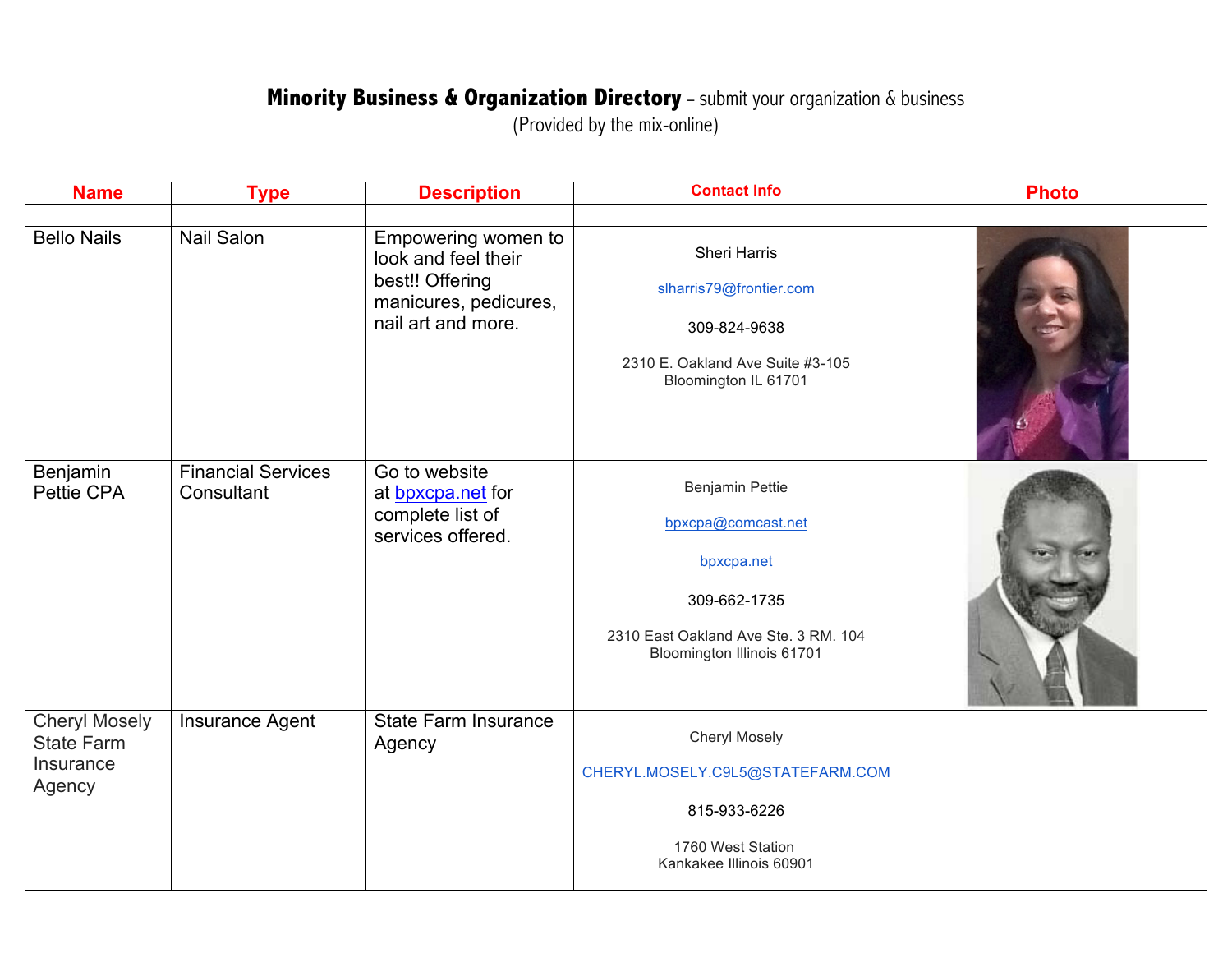## **Minority Business & Organization Directory** - submit your organization & business

(Provided by the mix-online)

| <b>Name</b>                                                      | <b>Type</b>                             | <b>Description</b>                                                                                           | <b>Contact Info</b>                                                                                                                       | <b>Photo</b> |
|------------------------------------------------------------------|-----------------------------------------|--------------------------------------------------------------------------------------------------------------|-------------------------------------------------------------------------------------------------------------------------------------------|--------------|
| <b>Bello Nails</b>                                               | <b>Nail Salon</b>                       | Empowering women to<br>look and feel their<br>best!! Offering<br>manicures, pedicures,<br>nail art and more. | <b>Sheri Harris</b><br>slharris79@frontier.com<br>309-824-9638<br>2310 E. Oakland Ave Suite #3-105<br>Bloomington IL 61701                |              |
| Benjamin<br>Pettie CPA                                           | <b>Financial Services</b><br>Consultant | Go to website<br>at bpxcpa.net for<br>complete list of<br>services offered.                                  | Benjamin Pettie<br>bpxcpa@comcast.net<br>bpxcpa.net<br>309-662-1735<br>2310 East Oakland Ave Ste. 3 RM. 104<br>Bloomington Illinois 61701 |              |
| <b>Cheryl Mosely</b><br><b>State Farm</b><br>Insurance<br>Agency | Insurance Agent                         | <b>State Farm Insurance</b><br>Agency                                                                        | <b>Cheryl Mosely</b><br>CHERYL.MOSELY.C9L5@STATEFARM.COM<br>815-933-6226<br>1760 West Station<br>Kankakee Illinois 60901                  |              |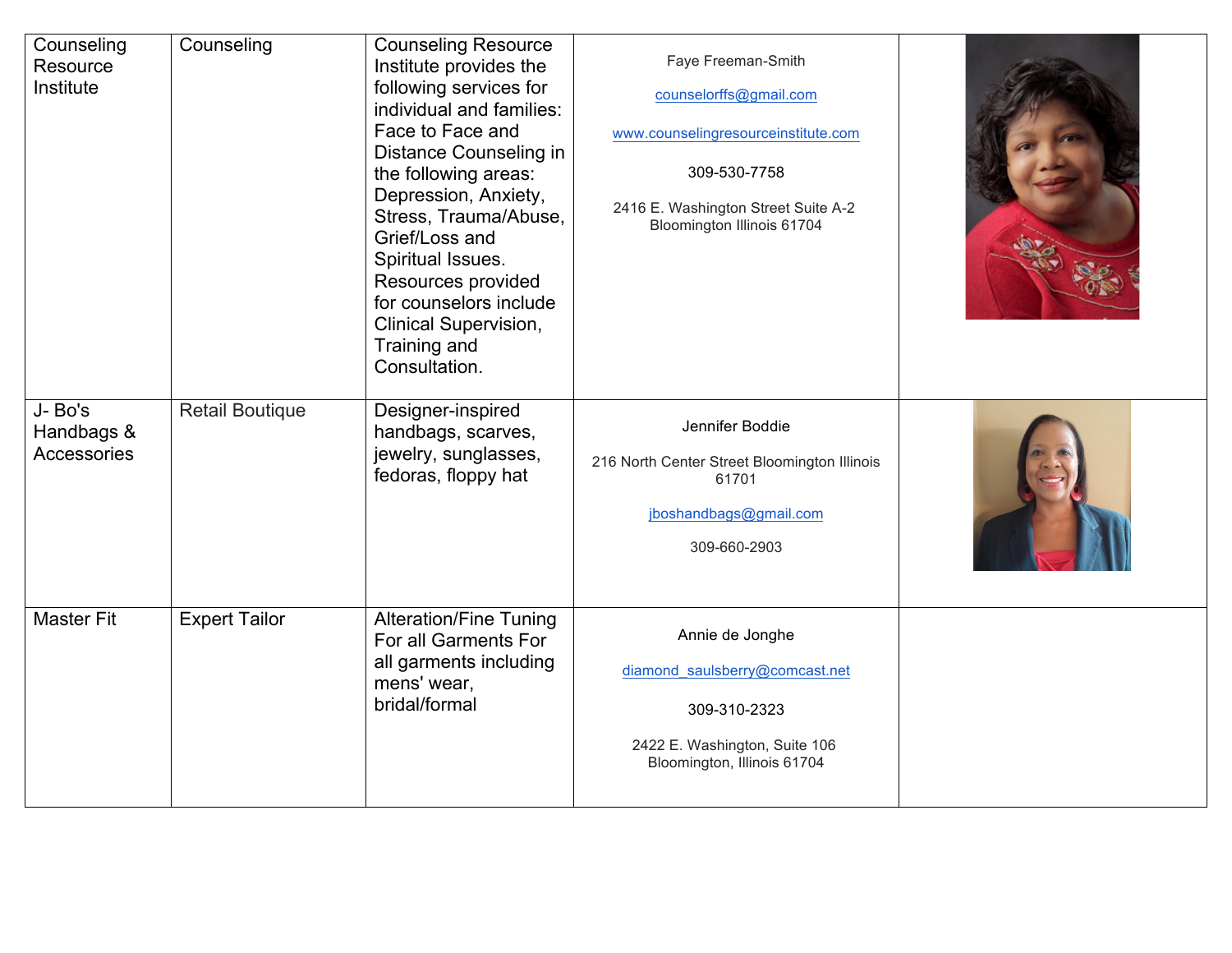| Counseling<br>Resource<br>Institute        | Counseling             | <b>Counseling Resource</b><br>Institute provides the<br>following services for<br>individual and families:<br>Face to Face and<br>Distance Counseling in<br>the following areas:<br>Depression, Anxiety,<br>Stress, Trauma/Abuse,<br>Grief/Loss and<br>Spiritual Issues.<br>Resources provided<br>for counselors include<br><b>Clinical Supervision,</b><br>Training and<br>Consultation. | Faye Freeman-Smith<br>counselorffs@gmail.com<br>www.counselingresourceinstitute.com<br>309-530-7758<br>2416 E. Washington Street Suite A-2<br>Bloomington Illinois 61704 |  |
|--------------------------------------------|------------------------|-------------------------------------------------------------------------------------------------------------------------------------------------------------------------------------------------------------------------------------------------------------------------------------------------------------------------------------------------------------------------------------------|--------------------------------------------------------------------------------------------------------------------------------------------------------------------------|--|
| J-Bo's<br>Handbags &<br><b>Accessories</b> | <b>Retail Boutique</b> | Designer-inspired<br>handbags, scarves,<br>jewelry, sunglasses,<br>fedoras, floppy hat                                                                                                                                                                                                                                                                                                    | Jennifer Boddie<br>216 North Center Street Bloomington Illinois<br>61701<br>jboshandbags@gmail.com<br>309-660-2903                                                       |  |
| <b>Master Fit</b>                          | <b>Expert Tailor</b>   | <b>Alteration/Fine Tuning</b><br>For all Garments For<br>all garments including<br>mens' wear,<br>bridal/formal                                                                                                                                                                                                                                                                           | Annie de Jonghe<br>diamond_saulsberry@comcast.net<br>309-310-2323<br>2422 E. Washington, Suite 106<br>Bloomington, Illinois 61704                                        |  |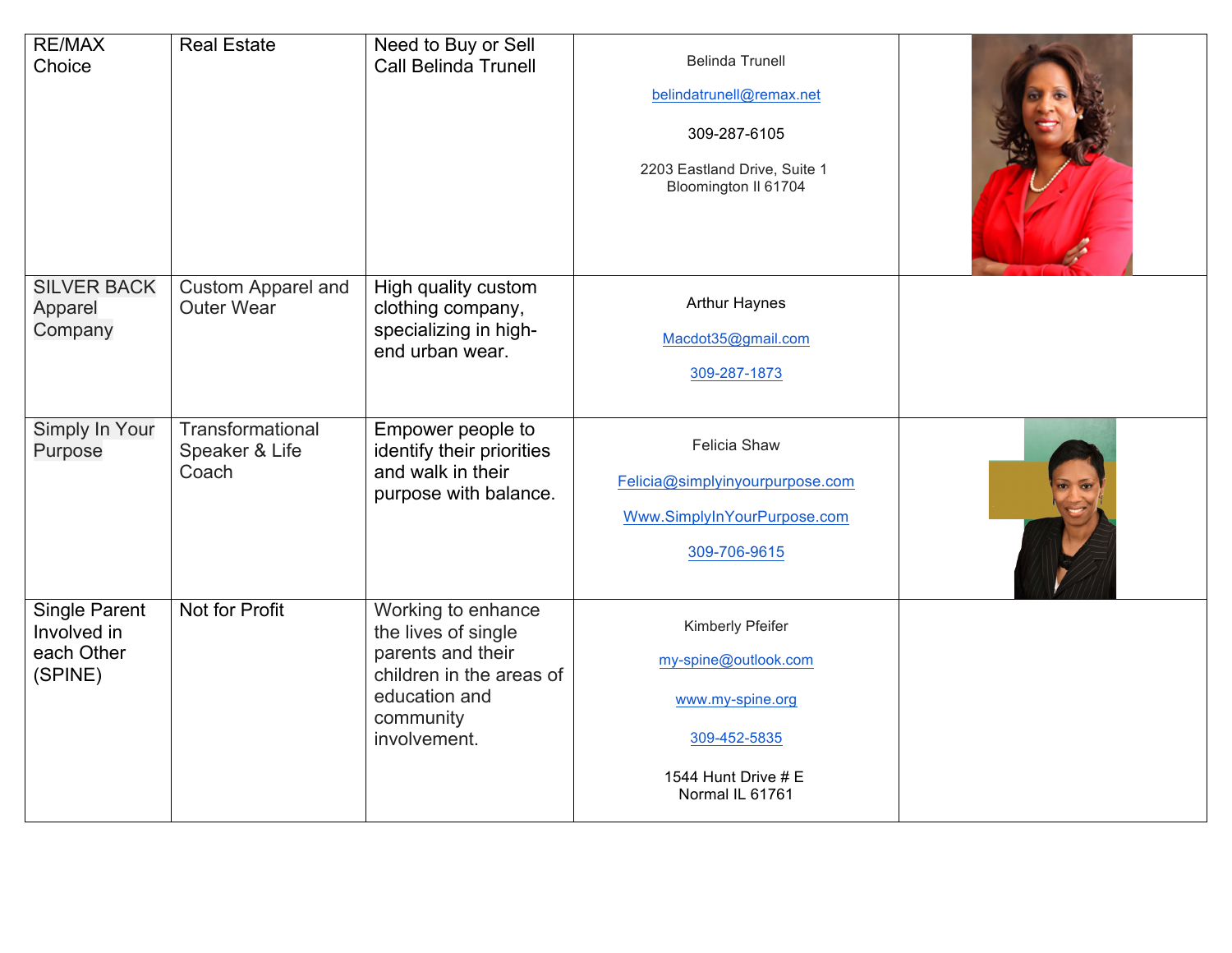| <b>RE/MAX</b><br>Choice                               | <b>Real Estate</b>                             | Need to Buy or Sell<br><b>Call Belinda Trunell</b>                                                                                       | <b>Belinda Trunell</b><br>belindatrunell@remax.net<br>309-287-6105<br>2203 Eastland Drive, Suite 1<br>Bloomington II 61704 |  |
|-------------------------------------------------------|------------------------------------------------|------------------------------------------------------------------------------------------------------------------------------------------|----------------------------------------------------------------------------------------------------------------------------|--|
| <b>SILVER BACK</b><br>Apparel<br>Company              | <b>Custom Apparel and</b><br><b>Outer Wear</b> | High quality custom<br>clothing company,<br>specializing in high-<br>end urban wear.                                                     | <b>Arthur Haynes</b><br>Macdot35@gmail.com<br>309-287-1873                                                                 |  |
| Simply In Your<br>Purpose                             | Transformational<br>Speaker & Life<br>Coach    | Empower people to<br>identify their priorities<br>and walk in their<br>purpose with balance.                                             | <b>Felicia Shaw</b><br>Felicia@simplyinyourpurpose.com<br>Www.SimplyInYourPurpose.com<br>309-706-9615                      |  |
| Single Parent<br>Involved in<br>each Other<br>(SPINE) | Not for Profit                                 | Working to enhance<br>the lives of single<br>parents and their<br>children in the areas of<br>education and<br>community<br>involvement. | Kimberly Pfeifer<br>my-spine@outlook.com<br>www.my-spine.org<br>309-452-5835<br>1544 Hunt Drive # E<br>Normal IL 61761     |  |